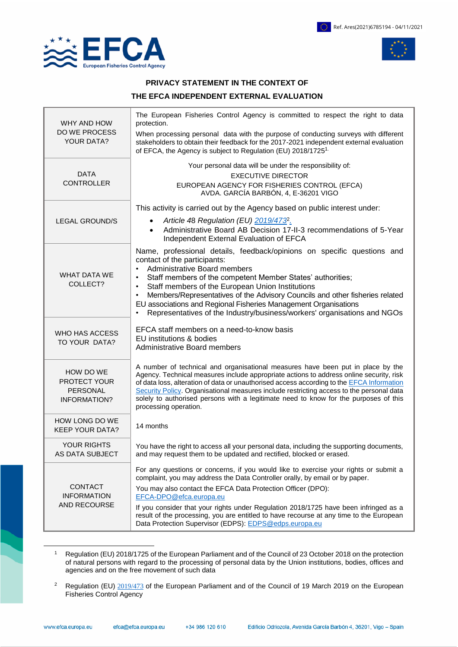

 $\overline{a}$ 



### **PRIVACY STATEMENT IN THE CONTEXT OF**

### **THE EFCA INDEPENDENT EXTERNAL EVALUATION**

| WHY AND HOW<br>DO WE PROCESS<br><b>YOUR DATA?</b>            | The European Fisheries Control Agency is committed to respect the right to data<br>protection.                                                                                                                                                                                                                                                                      |
|--------------------------------------------------------------|---------------------------------------------------------------------------------------------------------------------------------------------------------------------------------------------------------------------------------------------------------------------------------------------------------------------------------------------------------------------|
|                                                              | When processing personal data with the purpose of conducting surveys with different<br>stakeholders to obtain their feedback for the 2017-2021 independent external evaluation<br>of EFCA, the Agency is subject to Regulation (EU) 2018/1725 <sup>1.</sup>                                                                                                         |
| <b>DATA</b><br><b>CONTROLLER</b>                             | Your personal data will be under the responsibility of:                                                                                                                                                                                                                                                                                                             |
|                                                              | <b>EXECUTIVE DIRECTOR</b><br>EUROPEAN AGENCY FOR FISHERIES CONTROL (EFCA)<br>AVDA. GARCÍA BARBÓN, 4, E-36201 VIGO                                                                                                                                                                                                                                                   |
|                                                              | This activity is carried out by the Agency based on public interest under:                                                                                                                                                                                                                                                                                          |
| <b>LEGAL GROUND/S</b>                                        | Article 48 Regulation (EU) 2019/473 <sup>2</sup> .<br>$\bullet$<br>Administrative Board AB Decision 17-II-3 recommendations of 5-Year<br>$\bullet$<br>Independent External Evaluation of EFCA                                                                                                                                                                       |
| <b>WHAT DATA WE</b><br>COLLECT?                              | Name, professional details, feedback/opinions on specific questions and<br>contact of the participants:                                                                                                                                                                                                                                                             |
|                                                              | <b>Administrative Board members</b><br>$\bullet$<br>Staff members of the competent Member States' authorities;<br>$\bullet$                                                                                                                                                                                                                                         |
|                                                              | Staff members of the European Union Institutions<br>$\bullet$                                                                                                                                                                                                                                                                                                       |
|                                                              | Members/Representatives of the Advisory Councils and other fisheries related<br>$\bullet$<br>EU associations and Regional Fisheries Management Organisations<br>Representatives of the Industry/business/workers' organisations and NGOs<br>٠                                                                                                                       |
| WHO HAS ACCESS<br>TO YOUR DATA?                              | EFCA staff members on a need-to-know basis                                                                                                                                                                                                                                                                                                                          |
|                                                              | EU institutions & bodies<br><b>Administrative Board members</b>                                                                                                                                                                                                                                                                                                     |
| HOW DO WE<br>PROTECT YOUR<br>PERSONAL<br><b>INFORMATION?</b> | A number of technical and organisational measures have been put in place by the<br>Agency. Technical measures include appropriate actions to address online security, risk<br>of data loss, alteration of data or unauthorised access according to the EFCA Information<br>Security Policy. Organisational measures include restricting access to the personal data |
|                                                              | solely to authorised persons with a legitimate need to know for the purposes of this<br>processing operation.                                                                                                                                                                                                                                                       |
| HOW LONG DO WE<br><b>KEEP YOUR DATA?</b>                     | 14 months                                                                                                                                                                                                                                                                                                                                                           |
| <b>YOUR RIGHTS</b><br>AS DATA SUBJECT                        | You have the right to access all your personal data, including the supporting documents,<br>and may request them to be updated and rectified, blocked or erased.                                                                                                                                                                                                    |
| <b>CONTACT</b><br><b>INFORMATION</b><br>AND RECOURSE         | For any questions or concerns, if you would like to exercise your rights or submit a<br>complaint, you may address the Data Controller orally, by email or by paper.                                                                                                                                                                                                |
|                                                              | You may also contact the EFCA Data Protection Officer (DPO):<br>EFCA-DPO@efca.europa.eu                                                                                                                                                                                                                                                                             |
|                                                              | If you consider that your rights under Regulation 2018/1725 have been infringed as a<br>result of the processing, you are entitled to have recourse at any time to the European<br>Data Protection Supervisor (EDPS): EDPS@edps.europa.eu                                                                                                                           |

<sup>1</sup> Regulation (EU) 2018/1725 of the European Parliament and of the Council of 23 October 2018 on the protection of natural persons with regard to the processing of personal data by the Union institutions, bodies, offices and agencies and on the free movement of such data

<sup>&</sup>lt;sup>2</sup> Regulation (EU) [2019/473](https://eur-lex.europa.eu/legal-content/EN/TXT/?qid=1553512787433&uri=CELEX:32019R0473) of the European Parliament and of the Council of 19 March 2019 on the European Fisheries Control Agency